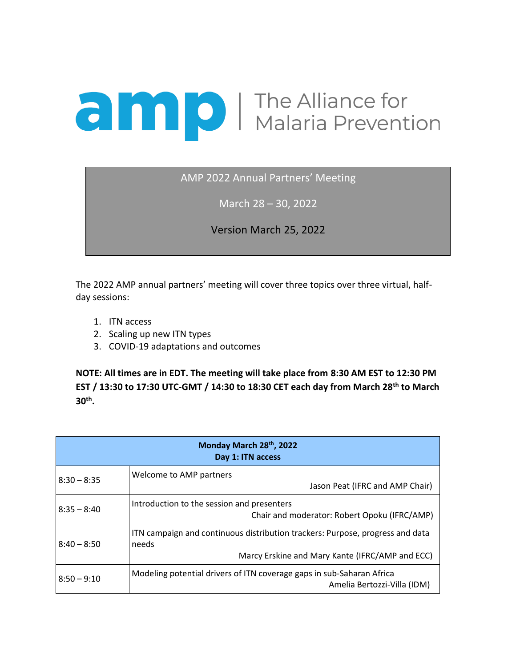## **a Maria Prevention**

AMP 2022 Annual Partners' Meeting

March 28 – 30, 2022

Version March 25, 2022

The 2022 AMP annual partners' meeting will cover three topics over three virtual, halfday sessions:

- 1. ITN access
- 2. Scaling up new ITN types
- 3. COVID-19 adaptations and outcomes

**NOTE: All times are in EDT. The meeting will take place from 8:30 AM EST to 12:30 PM EST / 13:30 to 17:30 UTC-GMT / 14:30 to 18:30 CET each day from March 28th to March 30th .**

| Monday March 28th, 2022<br>Day 1: ITN access |                                                                                                                                           |  |
|----------------------------------------------|-------------------------------------------------------------------------------------------------------------------------------------------|--|
| $8:30 - 8:35$                                | Welcome to AMP partners<br>Jason Peat (IFRC and AMP Chair)                                                                                |  |
| $8:35 - 8:40$                                | Introduction to the session and presenters<br>Chair and moderator: Robert Opoku (IFRC/AMP)                                                |  |
| $8:40 - 8:50$                                | ITN campaign and continuous distribution trackers: Purpose, progress and data<br>needs<br>Marcy Erskine and Mary Kante (IFRC/AMP and ECC) |  |
| $8:50 - 9:10$                                | Modeling potential drivers of ITN coverage gaps in sub-Saharan Africa<br>Amelia Bertozzi-Villa (IDM)                                      |  |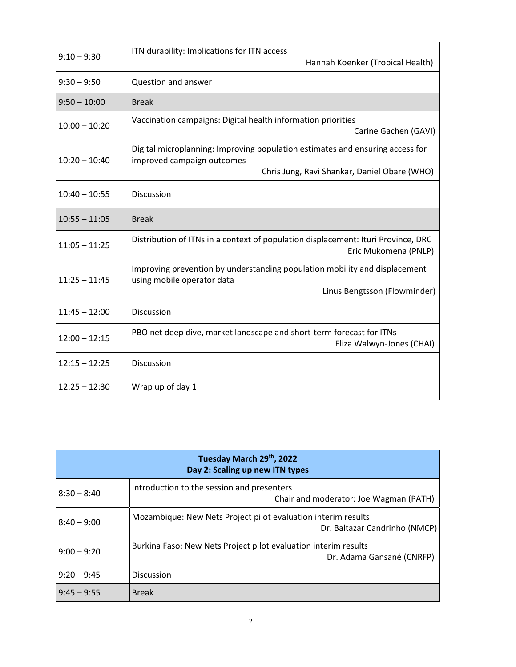| $9:10 - 9:30$   | ITN durability: Implications for ITN access<br>Hannah Koenker (Tropical Health)                                                                             |
|-----------------|-------------------------------------------------------------------------------------------------------------------------------------------------------------|
| $9:30 - 9:50$   | Question and answer                                                                                                                                         |
| $9:50 - 10:00$  | <b>Break</b>                                                                                                                                                |
| $10:00 - 10:20$ | Vaccination campaigns: Digital health information priorities<br>Carine Gachen (GAVI)                                                                        |
| $10:20 - 10:40$ | Digital microplanning: Improving population estimates and ensuring access for<br>improved campaign outcomes<br>Chris Jung, Ravi Shankar, Daniel Obare (WHO) |
| $10:40 - 10:55$ | Discussion                                                                                                                                                  |
| $10:55 - 11:05$ | <b>Break</b>                                                                                                                                                |
| $11:05 - 11:25$ | Distribution of ITNs in a context of population displacement: Ituri Province, DRC<br>Eric Mukomena (PNLP)                                                   |
| $11:25 - 11:45$ | Improving prevention by understanding population mobility and displacement<br>using mobile operator data<br>Linus Bengtsson (Flowminder)                    |
| $11:45 - 12:00$ | <b>Discussion</b>                                                                                                                                           |
| $12:00 - 12:15$ | PBO net deep dive, market landscape and short-term forecast for ITNs<br>Eliza Walwyn-Jones (CHAI)                                                           |
| $12:15 - 12:25$ | <b>Discussion</b>                                                                                                                                           |
| $12:25 - 12:30$ | Wrap up of day 1                                                                                                                                            |

| Tuesday March 29th, 2022<br>Day 2: Scaling up new ITN types |                                                                                                |  |
|-------------------------------------------------------------|------------------------------------------------------------------------------------------------|--|
| $8:30 - 8:40$                                               | Introduction to the session and presenters<br>Chair and moderator: Joe Wagman (PATH)           |  |
| $8:40 - 9:00$                                               | Mozambique: New Nets Project pilot evaluation interim results<br>Dr. Baltazar Candrinho (NMCP) |  |
| $9:00 - 9:20$                                               | Burkina Faso: New Nets Project pilot evaluation interim results<br>Dr. Adama Gansané (CNRFP)   |  |
| $9:20 - 9:45$                                               | <b>Discussion</b>                                                                              |  |
| $9:45 - 9:55$                                               | <b>Break</b>                                                                                   |  |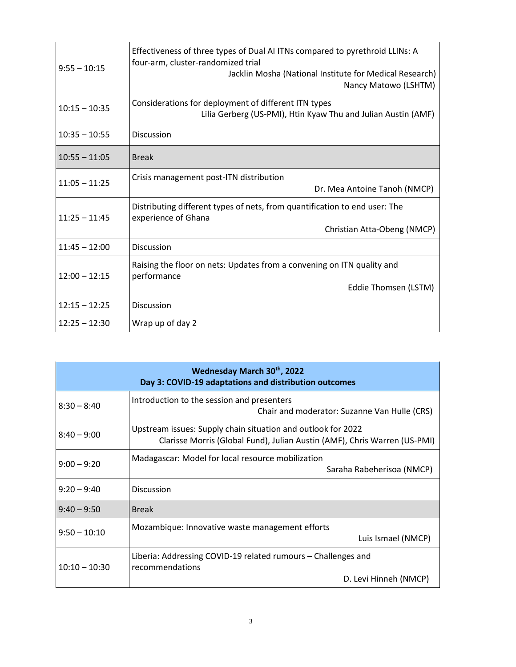| $9:55 - 10:15$  | Effectiveness of three types of Dual AI ITNs compared to pyrethroid LLINs: A<br>four-arm, cluster-randomized trial<br>Jacklin Mosha (National Institute for Medical Research)<br>Nancy Matowo (LSHTM) |
|-----------------|-------------------------------------------------------------------------------------------------------------------------------------------------------------------------------------------------------|
| $10:15 - 10:35$ | Considerations for deployment of different ITN types<br>Lilia Gerberg (US-PMI), Htin Kyaw Thu and Julian Austin (AMF)                                                                                 |
| $10:35 - 10:55$ | <b>Discussion</b>                                                                                                                                                                                     |
| $10:55 - 11:05$ | <b>Break</b>                                                                                                                                                                                          |
| $11:05 - 11:25$ | Crisis management post-ITN distribution<br>Dr. Mea Antoine Tanoh (NMCP)                                                                                                                               |
| $11:25 - 11:45$ | Distributing different types of nets, from quantification to end user: The<br>experience of Ghana<br>Christian Atta-Obeng (NMCP)                                                                      |
| $11:45 - 12:00$ | <b>Discussion</b>                                                                                                                                                                                     |
| $12:00 - 12:15$ | Raising the floor on nets: Updates from a convening on ITN quality and<br>performance<br>Eddie Thomsen (LSTM)                                                                                         |
| $12:15 - 12:25$ | <b>Discussion</b>                                                                                                                                                                                     |
| $12:25 - 12:30$ | Wrap up of day 2                                                                                                                                                                                      |

| Wednesday March 30th, 2022<br>Day 3: COVID-19 adaptations and distribution outcomes |                                                                                                                                           |  |
|-------------------------------------------------------------------------------------|-------------------------------------------------------------------------------------------------------------------------------------------|--|
| $8:30 - 8:40$                                                                       | Introduction to the session and presenters<br>Chair and moderator: Suzanne Van Hulle (CRS)                                                |  |
| $8:40 - 9:00$                                                                       | Upstream issues: Supply chain situation and outlook for 2022<br>Clarisse Morris (Global Fund), Julian Austin (AMF), Chris Warren (US-PMI) |  |
| $9:00 - 9:20$                                                                       | Madagascar: Model for local resource mobilization<br>Saraha Rabeherisoa (NMCP)                                                            |  |
| $9:20 - 9:40$                                                                       | <b>Discussion</b>                                                                                                                         |  |
| $9:40 - 9:50$                                                                       | <b>Break</b>                                                                                                                              |  |
| $9:50 - 10:10$                                                                      | Mozambique: Innovative waste management efforts<br>Luis Ismael (NMCP)                                                                     |  |
| $10:10 - 10:30$                                                                     | Liberia: Addressing COVID-19 related rumours – Challenges and<br>recommendations                                                          |  |
|                                                                                     | D. Levi Hinneh (NMCP)                                                                                                                     |  |